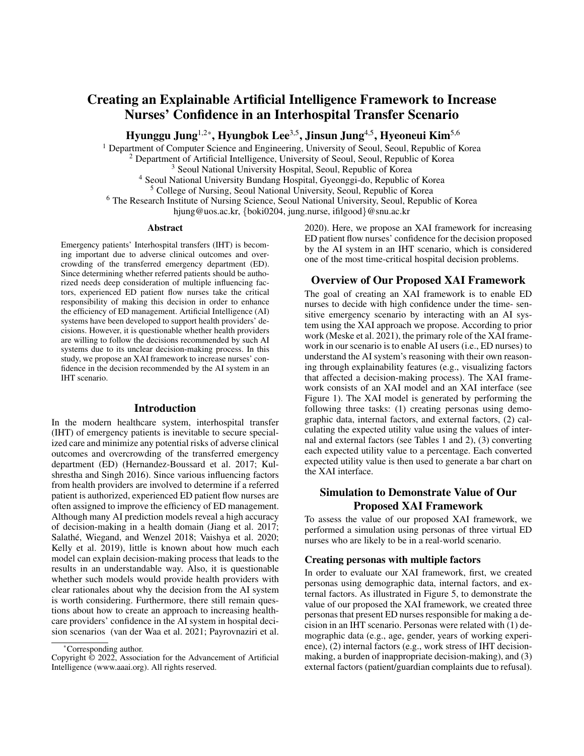# Creating an Explainable Artificial Intelligence Framework to Increase Nurses' Confidence in an Interhospital Transfer Scenario

Hyunggu Jung<sup>1,2\*</sup>, Hyungbok Lee<sup>3,5</sup>, Jinsun Jung<sup>4,5</sup>, Hyeoneui Kim<sup>5,6</sup>

<sup>1</sup> Department of Computer Science and Engineering, University of Seoul, Seoul, Republic of Korea

<sup>2</sup> Department of Artificial Intelligence, University of Seoul, Seoul, Republic of Korea

<sup>3</sup> Seoul National University Hospital, Seoul, Republic of Korea

<sup>4</sup> Seoul National University Bundang Hospital, Gyeonggi-do, Republic of Korea

<sup>5</sup> College of Nursing, Seoul National University, Seoul, Republic of Korea

<sup>6</sup> The Research Institute of Nursing Science, Seoul National University, Seoul, Republic of Korea

hjung@uos.ac.kr, {boki0204, jung.nurse, ifilgood}@snu.ac.kr

#### Abstract

Emergency patients' Interhospital transfers (IHT) is becoming important due to adverse clinical outcomes and overcrowding of the transferred emergency department (ED). Since determining whether referred patients should be authorized needs deep consideration of multiple influencing factors, experienced ED patient flow nurses take the critical responsibility of making this decision in order to enhance the efficiency of ED management. Artificial Intelligence (AI) systems have been developed to support health providers' decisions. However, it is questionable whether health providers are willing to follow the decisions recommended by such AI systems due to its unclear decision-making process. In this study, we propose an XAI framework to increase nurses' confidence in the decision recommended by the AI system in an IHT scenario.

#### Introduction

In the modern healthcare system, interhospital transfer (IHT) of emergency patients is inevitable to secure specialized care and minimize any potential risks of adverse clinical outcomes and overcrowding of the transferred emergency department (ED) (Hernandez-Boussard et al. 2017; Kulshrestha and Singh 2016). Since various influencing factors from health providers are involved to determine if a referred patient is authorized, experienced ED patient flow nurses are often assigned to improve the efficiency of ED management. Although many AI prediction models reveal a high accuracy of decision-making in a health domain (Jiang et al. 2017; Salathé, Wiegand, and Wenzel 2018; Vaishya et al. 2020; Kelly et al. 2019), little is known about how much each model can explain decision-making process that leads to the results in an understandable way. Also, it is questionable whether such models would provide health providers with clear rationales about why the decision from the AI system is worth considering. Furthermore, there still remain questions about how to create an approach to increasing healthcare providers' confidence in the AI system in hospital decision scenarios (van der Waa et al. 2021; Payrovnaziri et al.

2020). Here, we propose an XAI framework for increasing ED patient flow nurses' confidence for the decision proposed by the AI system in an IHT scenario, which is considered one of the most time-critical hospital decision problems.

# Overview of Our Proposed XAI Framework

The goal of creating an XAI framework is to enable ED nurses to decide with high confidence under the time- sensitive emergency scenario by interacting with an AI system using the XAI approach we propose. According to prior work (Meske et al. 2021), the primary role of the XAI framework in our scenario is to enable AI users (i.e., ED nurses) to understand the AI system's reasoning with their own reasoning through explainability features (e.g., visualizing factors that affected a decision-making process). The XAI framework consists of an XAI model and an XAI interface (see Figure 1). The XAI model is generated by performing the following three tasks: (1) creating personas using demographic data, internal factors, and external factors, (2) calculating the expected utility value using the values of internal and external factors (see Tables 1 and 2), (3) converting each expected utility value to a percentage. Each converted expected utility value is then used to generate a bar chart on the XAI interface.

# Simulation to Demonstrate Value of Our Proposed XAI Framework

To assess the value of our proposed XAI framework, we performed a simulation using personas of three virtual ED nurses who are likely to be in a real-world scenario.

#### Creating personas with multiple factors

In order to evaluate our XAI framework, first, we created personas using demographic data, internal factors, and external factors. As illustrated in Figure 5, to demonstrate the value of our proposed the XAI framework, we created three personas that present ED nurses responsible for making a decision in an IHT scenario. Personas were related with (1) demographic data (e.g., age, gender, years of working experience), (2) internal factors (e.g., work stress of IHT decisionmaking, a burden of inappropriate decision-making), and (3) external factors (patient/guardian complaints due to refusal).

<sup>\*</sup>Corresponding author.

Copyright © 2022, Association for the Advancement of Artificial Intelligence (www.aaai.org). All rights reserved.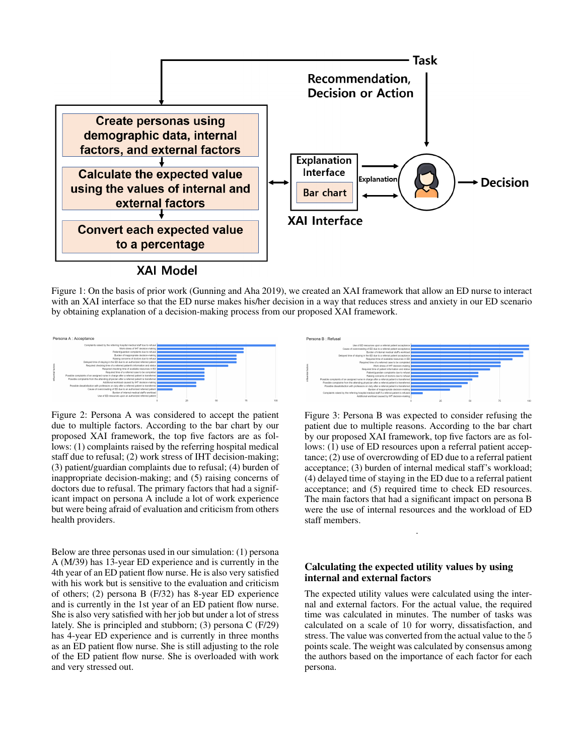

Figure 1: On the basis of prior work (Gunning and Aha 2019), we created an XAI framework that allow an ED nurse to interact with an XAI interface so that the ED nurse makes his/her decision in a way that reduces stress and anxiety in our ED scenario by obtaining explanation of a decision-making process from our proposed XAI framework.



Figure 2: Persona A was considered to accept the patient due to multiple factors. According to the bar chart by our proposed XAI framework, the top five factors are as follows: (1) complaints raised by the referring hospital medical staff due to refusal; (2) work stress of IHT decision-making; (3) patient/guardian complaints due to refusal; (4) burden of inappropriate decision-making; and (5) raising concerns of doctors due to refusal. The primary factors that had a significant impact on persona A include a lot of work experience but were being afraid of evaluation and criticism from others health providers.

Below are three personas used in our simulation: (1) persona A (M/39) has 13-year ED experience and is currently in the 4th year of an ED patient flow nurse. He is also very satisfied with his work but is sensitive to the evaluation and criticism of others; (2) persona B (F/32) has 8-year ED experience and is currently in the 1st year of an ED patient flow nurse. She is also very satisfied with her job but under a lot of stress lately. She is principled and stubborn; (3) persona C (F/29) has 4-year ED experience and is currently in three months as an ED patient flow nurse. She is still adjusting to the role of the ED patient flow nurse. She is overloaded with work and very stressed out.



Figure 3: Persona B was expected to consider refusing the patient due to multiple reasons. According to the bar chart by our proposed XAI framework, top five factors are as follows: (1) use of ED resources upon a referral patient acceptance; (2) use of overcrowding of ED due to a referral patient acceptance; (3) burden of internal medical staff's workload; (4) delayed time of staying in the ED due to a referral patient acceptance; and (5) required time to check ED resources. The main factors that had a significant impact on persona B were the use of internal resources and the workload of ED staff members.

.

# Calculating the expected utility values by using internal and external factors

The expected utility values were calculated using the internal and external factors. For the actual value, the required time was calculated in minutes. The number of tasks was calculated on a scale of 10 for worry, dissatisfaction, and stress. The value was converted from the actual value to the 5 points scale. The weight was calculated by consensus among the authors based on the importance of each factor for each persona.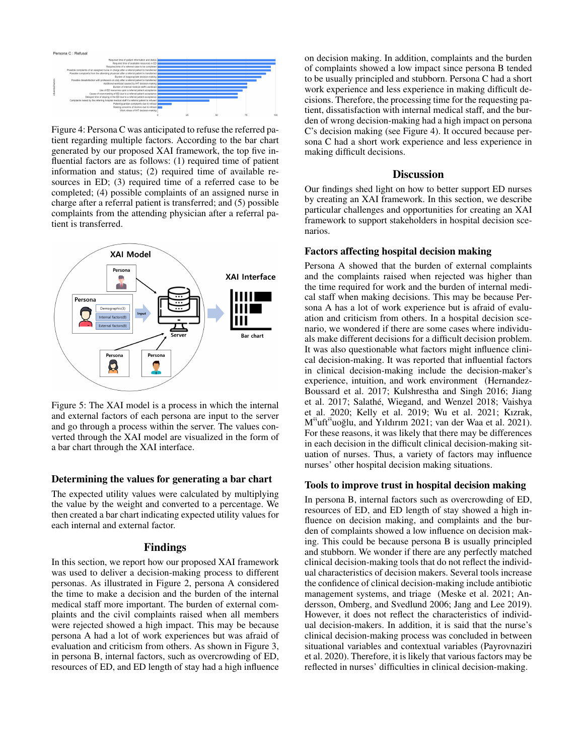

Figure 4: Persona C was anticipated to refuse the referred patient regarding multiple factors. According to the bar chart generated by our proposed XAI framework, the top five influential factors are as follows: (1) required time of patient information and status; (2) required time of available resources in ED; (3) required time of a referred case to be completed; (4) possible complaints of an assigned nurse in charge after a referral patient is transferred; and (5) possible complaints from the attending physician after a referral patient is transferred.



Figure 5: The XAI model is a process in which the internal and external factors of each persona are input to the server and go through a process within the server. The values converted through the XAI model are visualized in the form of a bar chart through the XAI interface.

### Determining the values for generating a bar chart

The expected utility values were calculated by multiplying the value by the weight and converted to a percentage. We then created a bar chart indicating expected utility values for each internal and external factor.

#### Findings

In this section, we report how our proposed XAI framework was used to deliver a decision-making process to different personas. As illustrated in Figure 2, persona A considered the time to make a decision and the burden of the internal medical staff more important. The burden of external complaints and the civil complaints raised when all members were rejected showed a high impact. This may be because persona A had a lot of work experiences but was afraid of evaluation and criticism from others. As shown in Figure 3, in persona B, internal factors, such as overcrowding of ED, resources of ED, and ED length of stay had a high influence

on decision making. In addition, complaints and the burden of complaints showed a low impact since persona B tended to be usually principled and stubborn. Persona C had a short work experience and less experience in making difficult decisions. Therefore, the processing time for the requesting patient, dissatisfaction with internal medical staff, and the burden of wrong decision-making had a high impact on persona C's decision making (see Figure 4). It occured because persona C had a short work experience and less experience in making difficult decisions.

#### **Discussion**

Our findings shed light on how to better support ED nurses by creating an XAI framework. In this section, we describe particular challenges and opportunities for creating an XAI framework to support stakeholders in hospital decision scenarios.

#### Factors affecting hospital decision making

Persona A showed that the burden of external complaints and the complaints raised when rejected was higher than the time required for work and the burden of internal medical staff when making decisions. This may be because Persona A has a lot of work experience but is afraid of evaluation and criticism from others. In a hospital decision scenario, we wondered if there are some cases where individuals make different decisions for a difficult decision problem. It was also questionable what factors might influence clinical decision-making. It was reported that influential factors in clinical decision-making include the decision-maker's experience, intuition, and work environment (Hernandez-Boussard et al. 2017; Kulshrestha and Singh 2016; Jiang et al. 2017; Salathé, Wiegand, and Wenzel 2018; Vaishya et al. 2020; Kelly et al. 2019; Wu et al. 2021; Kızrak, M<sup>3</sup>uft<sup>3</sup>uoglu, and Y<sub>1</sub>ldırım 2021; van der Waa et al. 2021). For these reasons, it was likely that there may be differences in each decision in the difficult clinical decision-making situation of nurses. Thus, a variety of factors may influence nurses' other hospital decision making situations.

#### Tools to improve trust in hospital decision making

In persona B, internal factors such as overcrowding of ED, resources of ED, and ED length of stay showed a high influence on decision making, and complaints and the burden of complaints showed a low influence on decision making. This could be because persona B is usually principled and stubborn. We wonder if there are any perfectly matched clinical decision-making tools that do not reflect the individual characteristics of decision makers. Several tools increase the confidence of clinical decision-making include antibiotic management systems, and triage (Meske et al. 2021; Andersson, Omberg, and Svedlund 2006; Jang and Lee 2019). However, it does not reflect the characteristics of individual decision-makers. In addition, it is said that the nurse's clinical decision-making process was concluded in between situational variables and contextual variables (Payrovnaziri et al. 2020). Therefore, it is likely that various factors may be reflected in nurses' difficulties in clinical decision-making.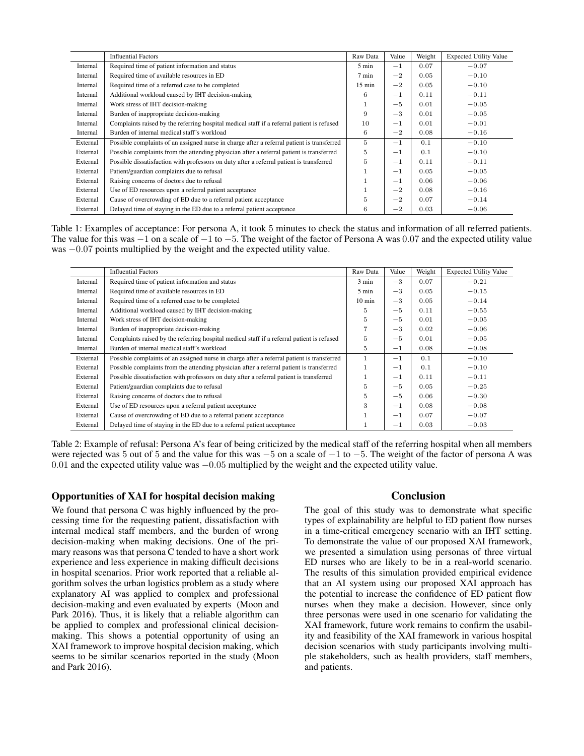|          | <b>Influential Factors</b>                                                                 | Raw Data         | Value   | Weight | <b>Expected Utility Value</b> |
|----------|--------------------------------------------------------------------------------------------|------------------|---------|--------|-------------------------------|
| Internal | Required time of patient information and status                                            | $5 \text{ min}$  | $-1$    | 0.07   | $-0.07$                       |
| Internal | Required time of available resources in ED                                                 | 7 min            | $-2$    | 0.05   | $-0.10$                       |
| Internal | Required time of a referred case to be completed                                           | $15 \text{ min}$ | $-2$    | 0.05   | $-0.10$                       |
| Internal | Additional workload caused by IHT decision-making                                          | 6                | $-1$    | 0.11   | $-0.11$                       |
| Internal | Work stress of IHT decision-making                                                         |                  | $-5$    | 0.01   | $-0.05$                       |
| Internal | Burden of inappropriate decision-making                                                    | 9                | $-3$    | 0.01   | $-0.05$                       |
| Internal | Complaints raised by the referring hospital medical staff if a referral patient is refused | 10               | $-1$    | 0.01   | $-0.01$                       |
| Internal | Burden of internal medical staff's workload                                                | 6                | $-2$    | 0.08   | $-0.16$                       |
| External | Possible complaints of an assigned nurse in charge after a referral patient is transferred | 5                | $-1$    | 0.1    | $-0.10$                       |
| External | Possible complaints from the attending physician after a referral patient is transferred   | 5                | $-1$    | 0.1    | $-0.10$                       |
| External | Possible dissatisfaction with professors on duty after a referral patient is transferred   | 5                | $-1$    | 0.11   | $-0.11$                       |
| External | Patient/guardian complaints due to refusal                                                 |                  | $-1$    | 0.05   | $-0.05$                       |
| External | Raising concerns of doctors due to refusal                                                 |                  | $^{-1}$ | 0.06   | $-0.06$                       |
| External | Use of ED resources upon a referral patient acceptance                                     |                  | $-2$    | 0.08   | $-0.16$                       |
| External | Cause of overcrowding of ED due to a referral patient acceptance                           | 5                | $-2$    | 0.07   | $-0.14$                       |
| External | Delayed time of staying in the ED due to a referral patient acceptance                     | 6                | $-2$    | 0.03   | $-0.06$                       |

Table 1: Examples of acceptance: For persona A, it took 5 minutes to check the status and information of all referred patients. The value for this was  $-1$  on a scale of  $-1$  to  $-5$ . The weight of the factor of Persona A was 0.07 and the expected utility value was −0.07 points multiplied by the weight and the expected utility value.

|          | <b>Influential Factors</b>                                                                 | Raw Data         | Value   | Weight | <b>Expected Utility Value</b> |
|----------|--------------------------------------------------------------------------------------------|------------------|---------|--------|-------------------------------|
| Internal | Required time of patient information and status                                            | 3 min            | $-3$    | 0.07   | $-0.21$                       |
| Internal | Required time of available resources in ED                                                 | $5 \text{ min}$  | $-3$    | 0.05   | $-0.15$                       |
| Internal | Required time of a referred case to be completed                                           | $10 \text{ min}$ | $-3$    | 0.05   | $-0.14$                       |
| Internal | Additional workload caused by IHT decision-making                                          | 5.               | $-5$    | 0.11   | $-0.55$                       |
| Internal | Work stress of IHT decision-making                                                         | 5                | $-5$    | 0.01   | $-0.05$                       |
| Internal | Burden of inappropriate decision-making                                                    | 7                | $-3$    | 0.02   | $-0.06$                       |
| Internal | Complaints raised by the referring hospital medical staff if a referral patient is refused | 5                | $-5$    | 0.01   | $-0.05$                       |
| Internal | Burden of internal medical staff's workload                                                | 5                | $^{-1}$ | 0.08   | $-0.08$                       |
| External | Possible complaints of an assigned nurse in charge after a referral patient is transferred | 1                | $-1$    | 0.1    | $-0.10$                       |
| External | Possible complaints from the attending physician after a referral patient is transferred   | 1                | $-1$    | 0.1    | $-0.10$                       |
| External | Possible dissatisfaction with professors on duty after a referral patient is transferred   | $\mathbf{1}$     | $-1$    | 0.11   | $-0.11$                       |
| External | Patient/guardian complaints due to refusal                                                 | 5                | $-5$    | 0.05   | $-0.25$                       |
| External | Raising concerns of doctors due to refusal                                                 | 5                | $-5$    | 0.06   | $-0.30$                       |
| External | Use of ED resources upon a referral patient acceptance                                     | 3                | $-1$    | 0.08   | $-0.08$                       |
| External | Cause of overcrowding of ED due to a referral patient acceptance                           |                  | $^{-1}$ | 0.07   | $-0.07$                       |
| External | Delayed time of staying in the ED due to a referral patient acceptance                     |                  | $^{-1}$ | 0.03   | $-0.03$                       |

Table 2: Example of refusal: Persona A's fear of being criticized by the medical staff of the referring hospital when all members were rejected was 5 out of 5 and the value for this was −5 on a scale of −1 to −5. The weight of the factor of persona A was 0.01 and the expected utility value was −0.05 multiplied by the weight and the expected utility value.

#### Opportunities of XAI for hospital decision making

We found that persona C was highly influenced by the processing time for the requesting patient, dissatisfaction with internal medical staff members, and the burden of wrong decision-making when making decisions. One of the primary reasons was that persona C tended to have a short work experience and less experience in making difficult decisions in hospital scenarios. Prior work reported that a reliable algorithm solves the urban logistics problem as a study where explanatory AI was applied to complex and professional decision-making and even evaluated by experts (Moon and Park 2016). Thus, it is likely that a reliable algorithm can be applied to complex and professional clinical decisionmaking. This shows a potential opportunity of using an XAI framework to improve hospital decision making, which seems to be similar scenarios reported in the study (Moon and Park 2016).

#### Conclusion

The goal of this study was to demonstrate what specific types of explainability are helpful to ED patient flow nurses in a time-critical emergency scenario with an IHT setting. To demonstrate the value of our proposed XAI framework, we presented a simulation using personas of three virtual ED nurses who are likely to be in a real-world scenario. The results of this simulation provided empirical evidence that an AI system using our proposed XAI approach has the potential to increase the confidence of ED patient flow nurses when they make a decision. However, since only three personas were used in one scenario for validating the XAI framework, future work remains to confirm the usability and feasibility of the XAI framework in various hospital decision scenarios with study participants involving multiple stakeholders, such as health providers, staff members, and patients.